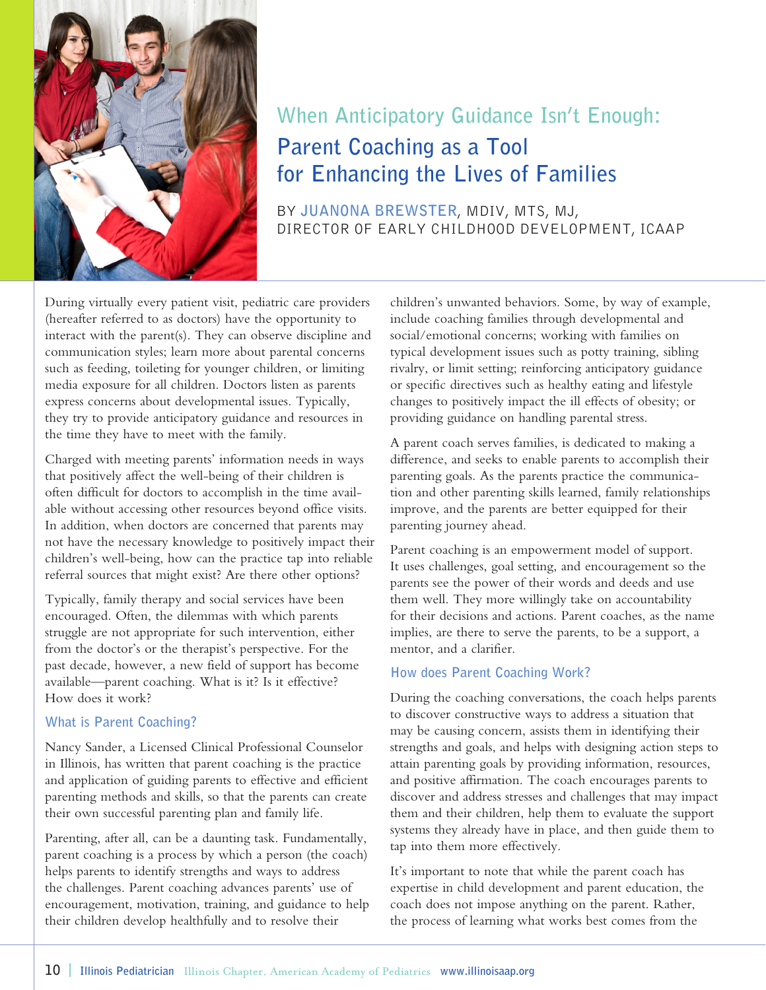

# **When Anticipatory Guidance Isn't Enough: Parent Coaching as a Tool for Enhancing the Lives of Families**

BY **JUANONA BREWSTER**, MDIV, MTS, MJ, DIRECTOR OF EARLY CHILDHOOD DEVELOPMENT, ICAAP

During virtually every patient visit, pediatric care providers (hereafter referred to as doctors) have the opportunity to interact with the parent(s). They can observe discipline and communication styles; learn more about parental concerns such as feeding, toileting for younger children, or limiting media exposure for all children. Doctors listen as parents express concerns about developmental issues. Typically, they try to provide anticipatory guidance and resources in the time they have to meet with the family.

Charged with meeting parents' information needs in ways that positively affect the well-being of their children is often difficult for doctors to accomplish in the time available without accessing other resources beyond office visits. In addition, when doctors are concerned that parents may not have the necessary knowledge to positively impact their children's well-being, how can the practice tap into reliable referral sources that might exist? Are there other options?

Typically, family therapy and social services have been encouraged. Often, the dilemmas with which parents struggle are not appropriate for such intervention, either from the doctor's or the therapist's perspective. For the past decade, however, a new field of support has become available—parent coaching. What is it? Is it effective? How does it work?

#### **What is Parent Coaching?**

Nancy Sander, a Licensed Clinical Professional Counselor in Illinois, has written that parent coaching is the practice and application of guiding parents to effective and efficient parenting methods and skills, so that the parents can create their own successful parenting plan and family life.

Parenting, after all, can be a daunting task. Fundamentally, parent coaching is a process by which a person (the coach) helps parents to identify strengths and ways to address the challenges. Parent coaching advances parents' use of encouragement, motivation, training, and guidance to help their children develop healthfully and to resolve their

children's unwanted behaviors. Some, by way of example, include coaching families through developmental and social/emotional concerns; working with families on typical development issues such as potty training, sibling rivalry, or limit setting; reinforcing anticipatory guidance or specific directives such as healthy eating and lifestyle changes to positively impact the ill effects of obesity; or providing guidance on handling parental stress.

A parent coach serves families, is dedicated to making a difference, and seeks to enable parents to accomplish their parenting goals. As the parents practice the communication and other parenting skills learned, family relationships improve, and the parents are better equipped for their parenting journey ahead.

Parent coaching is an empowerment model of support. It uses challenges, goal setting, and encouragement so the parents see the power of their words and deeds and use them well. They more willingly take on accountability for their decisions and actions. Parent coaches, as the name implies, are there to serve the parents, to be a support, a mentor, and a clarifier.

## **How does Parent Coaching Work?**

During the coaching conversations, the coach helps parents to discover constructive ways to address a situation that may be causing concern, assists them in identifying their strengths and goals, and helps with designing action steps to attain parenting goals by providing information, resources, and positive affirmation. The coach encourages parents to discover and address stresses and challenges that may impact them and their children, help them to evaluate the support systems they already have in place, and then guide them to tap into them more effectively.

It's important to note that while the parent coach has expertise in child development and parent education, the coach does not impose anything on the parent. Rather, the process of learning what works best comes from the